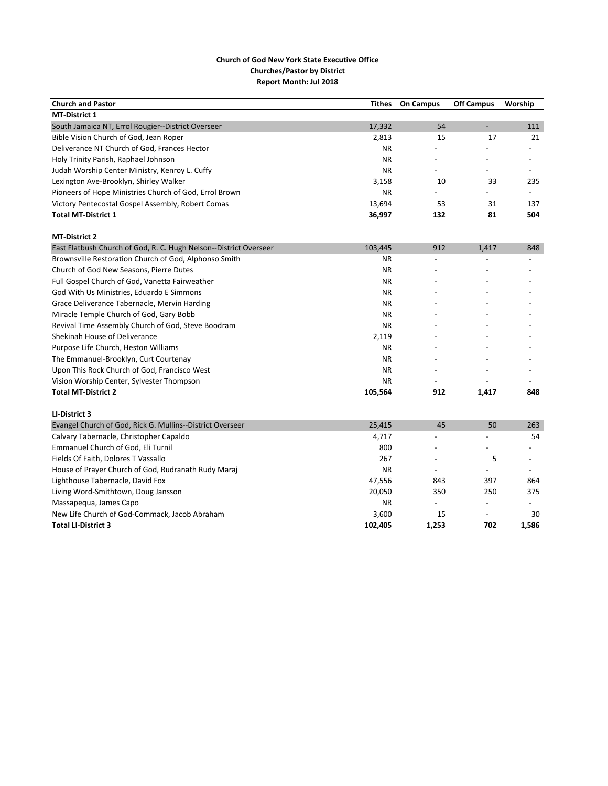| <b>Church and Pastor</b>                                          | <b>Tithes</b> | <b>On Campus</b> | <b>Off Campus</b>        | Worship                  |
|-------------------------------------------------------------------|---------------|------------------|--------------------------|--------------------------|
| <b>MT-District 1</b>                                              |               |                  |                          |                          |
| South Jamaica NT, Errol Rougier--District Overseer                | 17,332        | 54               | L,                       | 111                      |
| Bible Vision Church of God, Jean Roper                            | 2,813         | 15               | 17                       | 21                       |
| Deliverance NT Church of God, Frances Hector                      | <b>NR</b>     |                  |                          | $\overline{\phantom{a}}$ |
| Holy Trinity Parish, Raphael Johnson                              | <b>NR</b>     |                  |                          | $\overline{\phantom{a}}$ |
| Judah Worship Center Ministry, Kenroy L. Cuffy                    | <b>NR</b>     | $\overline{a}$   |                          | $\overline{\phantom{a}}$ |
| Lexington Ave-Brooklyn, Shirley Walker                            | 3,158         | 10               | 33                       | 235                      |
| Pioneers of Hope Ministries Church of God, Errol Brown            | <b>NR</b>     |                  |                          |                          |
| Victory Pentecostal Gospel Assembly, Robert Comas                 | 13,694        | 53               | 31                       | 137                      |
| <b>Total MT-District 1</b>                                        | 36,997        | 132              | 81                       | 504                      |
| <b>MT-District 2</b>                                              |               |                  |                          |                          |
| East Flatbush Church of God, R. C. Hugh Nelson--District Overseer | 103,445       | 912              | 1,417                    | 848                      |
| Brownsville Restoration Church of God, Alphonso Smith             | <b>NR</b>     |                  |                          |                          |
| Church of God New Seasons, Pierre Dutes                           | <b>NR</b>     |                  |                          |                          |
| Full Gospel Church of God, Vanetta Fairweather                    | <b>NR</b>     |                  |                          |                          |
| God With Us Ministries, Eduardo E Simmons                         | <b>NR</b>     |                  |                          |                          |
| Grace Deliverance Tabernacle, Mervin Harding                      | <b>NR</b>     |                  |                          |                          |
| Miracle Temple Church of God, Gary Bobb                           | <b>NR</b>     |                  |                          |                          |
| Revival Time Assembly Church of God, Steve Boodram                | <b>NR</b>     |                  |                          |                          |
| Shekinah House of Deliverance                                     | 2,119         |                  |                          |                          |
| Purpose Life Church, Heston Williams                              | <b>NR</b>     |                  |                          |                          |
| The Emmanuel-Brooklyn, Curt Courtenay                             | <b>NR</b>     |                  |                          |                          |
| Upon This Rock Church of God, Francisco West                      | <b>NR</b>     |                  |                          |                          |
| Vision Worship Center, Sylvester Thompson                         | <b>NR</b>     |                  |                          |                          |
| <b>Total MT-District 2</b>                                        | 105,564       | 912              | 1,417                    | 848                      |
| LI-District 3                                                     |               |                  |                          |                          |
| Evangel Church of God, Rick G. Mullins--District Overseer         | 25,415        | 45               | 50                       | 263                      |
| Calvary Tabernacle, Christopher Capaldo                           | 4,717         | $\overline{a}$   | $\overline{a}$           | 54                       |
| Emmanuel Church of God, Eli Turnil                                | 800           |                  | $\overline{\phantom{a}}$ | $\overline{\phantom{a}}$ |
| Fields Of Faith, Dolores T Vassallo                               | 267           |                  | 5                        |                          |
| House of Prayer Church of God, Rudranath Rudy Maraj               | <b>NR</b>     |                  |                          |                          |
| Lighthouse Tabernacle, David Fox                                  | 47,556        | 843              | 397                      | 864                      |
| Living Word-Smithtown, Doug Jansson                               | 20,050        | 350              | 250                      | 375                      |
| Massapequa, James Capo                                            | <b>NR</b>     | $\overline{a}$   | $\overline{a}$           |                          |
| New Life Church of God-Commack, Jacob Abraham                     | 3,600         | 15               | $\overline{a}$           | 30                       |
| <b>Total LI-District 3</b>                                        | 102,405       | 1,253            | 702                      | 1,586                    |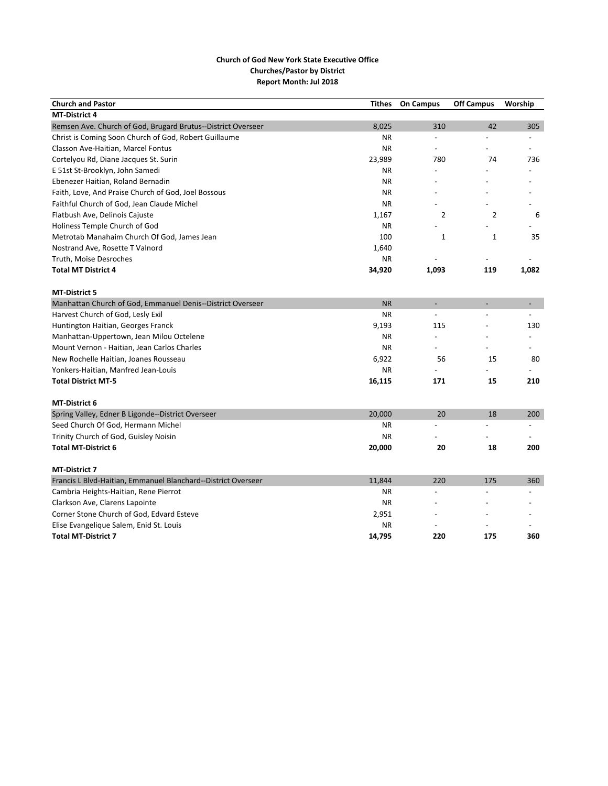| <b>Church and Pastor</b>                                      | <b>Tithes</b> | <b>On Campus</b>         | <b>Off Campus</b>        | Worship                  |
|---------------------------------------------------------------|---------------|--------------------------|--------------------------|--------------------------|
| <b>MT-District 4</b>                                          |               |                          |                          |                          |
| Remsen Ave. Church of God, Brugard Brutus--District Overseer  | 8,025         | 310                      | 42                       | 305                      |
| Christ is Coming Soon Church of God, Robert Guillaume         | <b>NR</b>     | $\overline{a}$           |                          |                          |
| Classon Ave-Haitian, Marcel Fontus                            | <b>NR</b>     | $\overline{\phantom{a}}$ |                          | $\overline{\phantom{a}}$ |
| Cortelyou Rd, Diane Jacques St. Surin                         | 23,989        | 780                      | 74                       | 736                      |
| E 51st St-Brooklyn, John Samedi                               | <b>NR</b>     |                          |                          |                          |
| Ebenezer Haitian, Roland Bernadin                             | <b>NR</b>     |                          |                          |                          |
| Faith, Love, And Praise Church of God, Joel Bossous           | <b>NR</b>     |                          |                          |                          |
| Faithful Church of God, Jean Claude Michel                    | <b>NR</b>     |                          |                          |                          |
| Flatbush Ave, Delinois Cajuste                                | 1,167         | 2                        | $\overline{2}$           | 6                        |
| Holiness Temple Church of God                                 | <b>NR</b>     |                          |                          |                          |
| Metrotab Manahaim Church Of God, James Jean                   | 100           | $\mathbf{1}$             | $\mathbf{1}$             | 35                       |
| Nostrand Ave, Rosette T Valnord                               | 1.640         |                          |                          |                          |
| Truth, Moise Desroches                                        | <b>NR</b>     |                          |                          |                          |
| <b>Total MT District 4</b>                                    | 34,920        | 1,093                    | 119                      | 1,082                    |
|                                                               |               |                          |                          |                          |
| <b>MT-District 5</b>                                          |               |                          |                          |                          |
| Manhattan Church of God, Emmanuel Denis--District Overseer    | <b>NR</b>     | ÷                        | $\overline{\phantom{a}}$ |                          |
| Harvest Church of God, Lesly Exil                             | <b>NR</b>     | $\overline{\phantom{a}}$ | $\overline{a}$           | $\overline{\phantom{a}}$ |
| Huntington Haitian, Georges Franck                            | 9,193         | 115                      |                          | 130                      |
| Manhattan-Uppertown, Jean Milou Octelene                      | <b>NR</b>     | $\overline{\phantom{a}}$ |                          |                          |
| Mount Vernon - Haitian, Jean Carlos Charles                   | <b>NR</b>     |                          |                          |                          |
| New Rochelle Haitian, Joanes Rousseau                         | 6,922         | 56                       | 15                       | 80                       |
| Yonkers-Haitian, Manfred Jean-Louis                           | <b>NR</b>     |                          |                          |                          |
| <b>Total District MT-5</b>                                    | 16,115        | 171                      | 15                       | 210                      |
| <b>MT-District 6</b>                                          |               |                          |                          |                          |
| Spring Valley, Edner B Ligonde--District Overseer             | 20,000        | 20                       | 18                       | 200                      |
| Seed Church Of God, Hermann Michel                            | <b>NR</b>     |                          |                          |                          |
| Trinity Church of God, Guisley Noisin                         | <b>NR</b>     |                          |                          |                          |
| <b>Total MT-District 6</b>                                    | 20,000        | 20                       | 18                       | 200                      |
|                                                               |               |                          |                          |                          |
| <b>MT-District 7</b>                                          |               |                          |                          |                          |
| Francis L Blvd-Haitian, Emmanuel Blanchard--District Overseer | 11,844        | 220                      | 175                      | 360                      |
| Cambria Heights-Haitian, Rene Pierrot                         | <b>NR</b>     | $\overline{a}$           |                          |                          |
| Clarkson Ave, Clarens Lapointe                                | <b>NR</b>     |                          |                          |                          |
| Corner Stone Church of God, Edvard Esteve                     | 2,951         |                          |                          |                          |
| Elise Evangelique Salem, Enid St. Louis                       | <b>NR</b>     |                          |                          |                          |
| <b>Total MT-District 7</b>                                    | 14,795        | 220                      | 175                      | 360                      |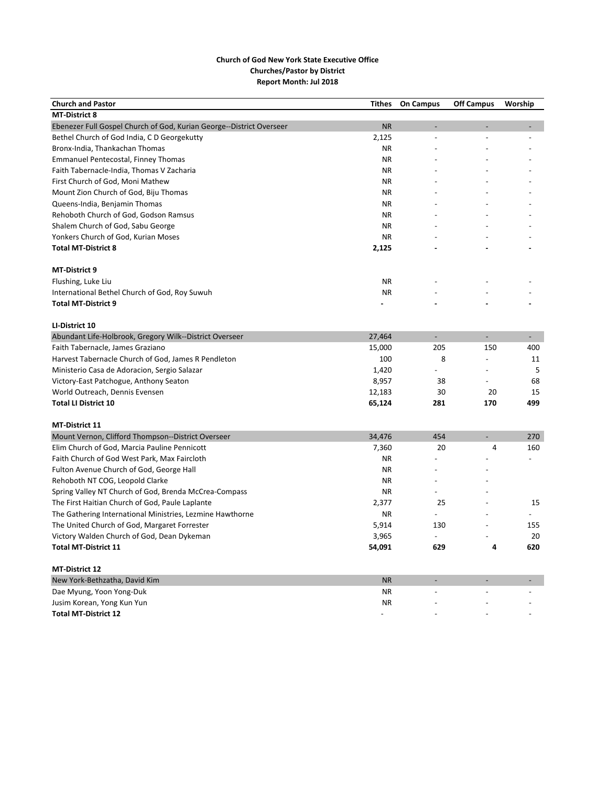| <b>Church and Pastor</b>                                             | <b>Tithes</b> | <b>On Campus</b>         | <b>Off Campus</b> | Worship                  |
|----------------------------------------------------------------------|---------------|--------------------------|-------------------|--------------------------|
| <b>MT-District 8</b>                                                 |               |                          |                   |                          |
| Ebenezer Full Gospel Church of God, Kurian George--District Overseer | <b>NR</b>     |                          |                   |                          |
| Bethel Church of God India, C D Georgekutty                          | 2,125         | $\overline{a}$           |                   |                          |
| Bronx-India, Thankachan Thomas                                       | <b>NR</b>     |                          |                   |                          |
| <b>Emmanuel Pentecostal, Finney Thomas</b>                           | <b>NR</b>     |                          |                   |                          |
| Faith Tabernacle-India, Thomas V Zacharia                            | <b>NR</b>     |                          |                   |                          |
| First Church of God, Moni Mathew                                     | <b>NR</b>     |                          |                   |                          |
| Mount Zion Church of God, Biju Thomas                                | ΝR            |                          |                   |                          |
| Queens-India, Benjamin Thomas                                        | <b>NR</b>     |                          |                   |                          |
| Rehoboth Church of God, Godson Ramsus                                | <b>NR</b>     |                          |                   |                          |
| Shalem Church of God, Sabu George                                    | <b>NR</b>     |                          |                   |                          |
| Yonkers Church of God, Kurian Moses                                  | <b>NR</b>     |                          |                   |                          |
| <b>Total MT-District 8</b>                                           | 2,125         |                          |                   |                          |
| MT-District 9                                                        |               |                          |                   |                          |
| Flushing, Luke Liu                                                   | ΝR            |                          |                   |                          |
| International Bethel Church of God, Roy Suwuh                        | <b>NR</b>     |                          |                   |                          |
| <b>Total MT-District 9</b>                                           |               |                          |                   |                          |
| LI-District 10                                                       |               |                          |                   |                          |
| Abundant Life-Holbrook, Gregory Wilk--District Overseer              | 27,464        | $\overline{\phantom{a}}$ | ÷                 | $\overline{\phantom{a}}$ |
| Faith Tabernacle, James Graziano                                     | 15,000        | 205                      | 150               | 400                      |
| Harvest Tabernacle Church of God, James R Pendleton                  | 100           | 8                        | $\overline{a}$    | 11                       |
| Ministerio Casa de Adoracion, Sergio Salazar                         | 1,420         |                          |                   | 5                        |
| Victory-East Patchogue, Anthony Seaton                               | 8,957         | 38                       | $\overline{a}$    | 68                       |
| World Outreach, Dennis Evensen                                       | 12,183        | 30                       | 20                | 15                       |
| <b>Total LI District 10</b>                                          | 65,124        | 281                      | 170               | 499                      |
| <b>MT-District 11</b>                                                |               |                          |                   |                          |
| Mount Vernon, Clifford Thompson--District Overseer                   | 34,476        | 454                      |                   | 270                      |
| Elim Church of God, Marcia Pauline Pennicott                         | 7,360         | 20                       | $\overline{4}$    | 160                      |
| Faith Church of God West Park, Max Faircloth                         | <b>NR</b>     |                          |                   |                          |
| Fulton Avenue Church of God, George Hall                             | ΝR            |                          |                   |                          |
| Rehoboth NT COG, Leopold Clarke                                      | <b>NR</b>     |                          |                   |                          |
| Spring Valley NT Church of God, Brenda McCrea-Compass                | <b>NR</b>     |                          |                   |                          |
| The First Haitian Church of God, Paule Laplante                      | 2,377         | 25                       |                   | 15                       |
| The Gathering International Ministries, Lezmine Hawthorne            | ΝR            |                          |                   |                          |
| The United Church of God, Margaret Forrester                         | 5,914         | 130                      |                   | 155                      |
| Victory Walden Church of God, Dean Dykeman                           | 3,965         |                          |                   | 20                       |
| <b>Total MT-District 11</b>                                          | 54,091        | 629                      | 4                 | 620                      |
| <b>MT-District 12</b>                                                |               |                          |                   |                          |
| New York-Bethzatha, David Kim                                        | <b>NR</b>     |                          |                   |                          |
| Dae Myung, Yoon Yong-Duk                                             | <b>NR</b>     |                          |                   |                          |
| Jusim Korean, Yong Kun Yun                                           | ΝR            |                          |                   |                          |
| <b>Total MT-District 12</b>                                          |               |                          |                   |                          |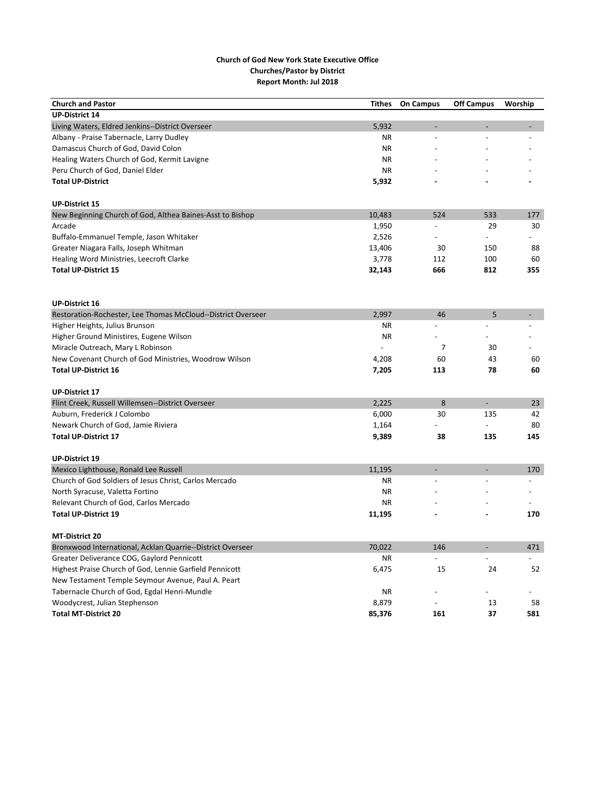| <b>Church and Pastor</b>                                     | <b>Tithes</b> | <b>On Campus</b>         | <b>Off Campus</b>        | Worship |
|--------------------------------------------------------------|---------------|--------------------------|--------------------------|---------|
| <b>UP-District 14</b>                                        |               |                          |                          |         |
| Living Waters, Eldred Jenkins--District Overseer             | 5,932         |                          |                          |         |
| Albany - Praise Tabernacle, Larry Dudley                     | <b>NR</b>     | $\overline{a}$           |                          |         |
| Damascus Church of God, David Colon                          | <b>NR</b>     |                          |                          |         |
| Healing Waters Church of God, Kermit Lavigne                 | ΝR            |                          |                          |         |
| Peru Church of God, Daniel Elder                             | <b>NR</b>     |                          |                          |         |
| <b>Total UP-District</b>                                     | 5,932         |                          |                          |         |
| <b>UP-District 15</b>                                        |               |                          |                          |         |
| New Beginning Church of God, Althea Baines-Asst to Bishop    | 10,483        | 524                      | 533                      | 177     |
| Arcade                                                       | 1,950         | $\overline{a}$           | 29                       | 30      |
| Buffalo-Emmanuel Temple, Jason Whitaker                      | 2,526         |                          | $\overline{a}$           |         |
| Greater Niagara Falls, Joseph Whitman                        | 13,406        | 30                       | 150                      | 88      |
| Healing Word Ministries, Leecroft Clarke                     | 3,778         | 112                      | 100                      | 60      |
| <b>Total UP-District 15</b>                                  | 32,143        | 666                      | 812                      | 355     |
|                                                              |               |                          |                          |         |
| <b>UP-District 16</b>                                        |               |                          |                          |         |
| Restoration-Rochester, Lee Thomas McCloud--District Overseer | 2,997         | 46                       | 5                        |         |
| Higher Heights, Julius Brunson                               | ΝR            |                          |                          |         |
| Higher Ground Ministires, Eugene Wilson                      | <b>NR</b>     |                          |                          |         |
| Miracle Outreach, Mary L Robinson                            |               | $\overline{7}$           | 30                       |         |
| New Covenant Church of God Ministries, Woodrow Wilson        | 4,208         | 60                       | 43                       | 60      |
| <b>Total UP-District 16</b>                                  | 7,205         | 113                      | 78                       | 60      |
| <b>UP-District 17</b>                                        |               |                          |                          |         |
| Flint Creek, Russell Willemsen--District Overseer            | 2,225         | 8                        | $\overline{\phantom{a}}$ | 23      |
| Auburn, Frederick J Colombo                                  | 6,000         | 30                       | 135                      | 42      |
| Newark Church of God, Jamie Riviera                          | 1,164         |                          |                          | 80      |
| <b>Total UP-District 17</b>                                  | 9,389         | 38                       | 135                      | 145     |
| <b>UP-District 19</b>                                        |               |                          |                          |         |
| Mexico Lighthouse, Ronald Lee Russell                        | 11,195        | $\overline{\phantom{a}}$ | L,                       | 170     |
| Church of God Soldiers of Jesus Christ, Carlos Mercado       | <b>NR</b>     |                          |                          |         |
| North Syracuse, Valetta Fortino                              | <b>NR</b>     |                          |                          |         |
| Relevant Church of God, Carlos Mercado                       | <b>NR</b>     |                          |                          |         |
| <b>Total UP-District 19</b>                                  | 11,195        |                          |                          | 170     |
| <b>MT-District 20</b>                                        |               |                          |                          |         |
| Bronxwood International, Acklan Quarrie--District Overseer   | 70,022        | 146                      |                          | 471     |
| Greater Deliverance COG, Gaylord Pennicott                   | ΝR            | $\overline{a}$           |                          |         |
| Highest Praise Church of God, Lennie Garfield Pennicott      | 6,475         | 15                       | 24                       | 52      |
| New Testament Temple Seymour Avenue, Paul A. Peart           |               |                          |                          |         |
| Tabernacle Church of God, Egdal Henri-Mundle                 | <b>NR</b>     |                          |                          |         |
| Woodycrest, Julian Stephenson                                | 8,879         |                          | 13                       | 58      |
| <b>Total MT-District 20</b>                                  | 85,376        | 161                      | 37                       | 581     |